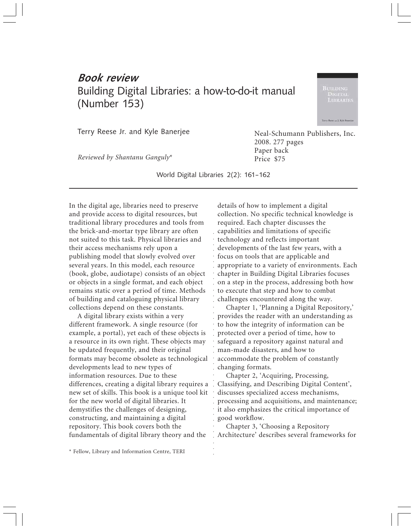## Book review Building Digital Libraries: a how-to-do-it manual (Number 153)

LIBRARIE

**Corry Report for T. Keller S** 

Terry Reese Jr. and Kyle Banerjee

*Reviewed by Shantanu Ganguly*\*

World Digital Libraries 2(2): 161–162

In the digital age, libraries need to preserve and provide access to digital resources, but traditional library procedures and tools from the brick-and-mortar type library are often not suited to this task. Physical libraries and their access mechanisms rely upon a publishing model that slowly evolved over several years. In this model, each resource (book, globe, audiotape) consists of an object or objects in a single format, and each object remains static over a period of time. Methods of building and cataloguing physical library collections depend on these constants.

Frame Stand World Digital Libraries 2(2): 161–162<br>
2008<br>
Pape Price<br>
2008<br>
Pape Price<br>
2008<br>
2008<br>
2008<br>
2008<br>
2008<br>
2008<br>
2008<br>
2008<br>
2008<br>
2008<br>
2008<br>
2009<br>
2008<br>
2009<br>
2009<br>
2009<br>
2009<br>
2010<br>
2010<br>
2010<br>
2010<br>
2010<br>
201 A digital library exists within a very different framework. A single resource (for example, a portal), yet each of these objects is a resource in its own right. These objects may be updated frequently, and their original formats may become obsolete as technological developments lead to new types of information resources. Due to these differences, creating a digital library requires a new set of skills. This book is a unique tool kit for the new world of digital libraries. It demystifies the challenges of designing, constructing, and maintaining a digital repository. This book covers both the fundamentals of digital library theory and the

details of how to implement a digital collection. No specific technical knowledge is required. Each chapter discusses the capabilities and limitations of specific technology and reflects important developments of the last few years, with a focus on tools that are applicable and appropriate to a variety of environments. Each chapter in Building Digital Libraries focuses on a step in the process, addressing both how to execute that step and how to combat challenges encountered along the way.

Chapter 1, 'Planning a Digital Repository,' provides the reader with an understanding as to how the integrity of information can be protected over a period of time, how to safeguard a repository against natural and man-made disasters, and how to accommodate the problem of constantly changing formats.

Chapter 2, 'Acquiring, Processing, Classifying, and Describing Digital Content', discusses specialized access mechanisms, processing and acquisitions, and maintenance; it also emphasizes the critical importance of good workflow.

Chapter 3, 'Choosing a Repository Architecture' describes several frameworks for

\* Fellow, Library and Information Centre, TERI